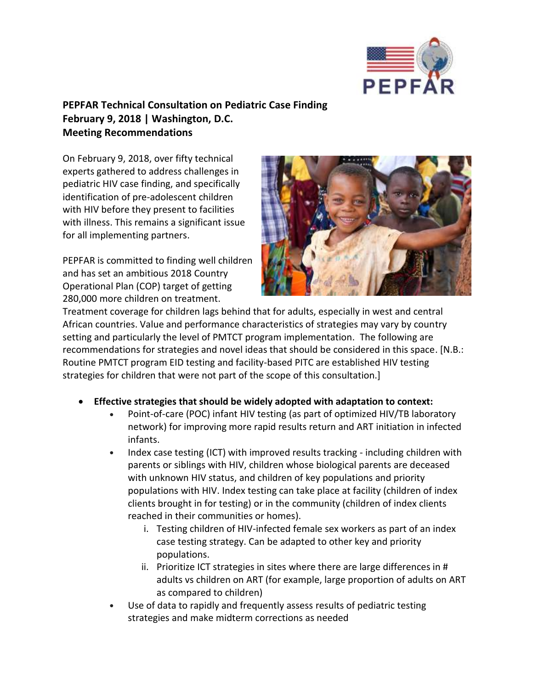

## **PEPFAR Technical Consultation on Pediatric Case Finding February 9, 2018 | Washington, D.C. Meeting Recommendations**

On February 9, 2018, over fifty technical experts gathered to address challenges in pediatric HIV case finding, and specifically identification of pre-adolescent children with HIV before they present to facilities with illness. This remains a significant issue for all implementing partners.

PEPFAR is committed to finding well children and has set an ambitious 2018 Country Operational Plan (COP) target of getting 280,000 more children on treatment.



Treatment coverage for children lags behind that for adults, especially in west and central African countries. Value and performance characteristics of strategies may vary by country setting and particularly the level of PMTCT program implementation. The following are recommendations for strategies and novel ideas that should be considered in this space. [N.B.: Routine PMTCT program EID testing and facility-based PITC are established HIV testing strategies for children that were not part of the scope of this consultation.]

- **Effective strategies that should be widely adopted with adaptation to context:**
	- Point-of-care (POC) infant HIV testing (as part of optimized HIV/TB laboratory network) for improving more rapid results return and ART initiation in infected infants.
	- Index case testing (ICT) with improved results tracking including children with parents or siblings with HIV, children whose biological parents are deceased with unknown HIV status, and children of key populations and priority populations with HIV. Index testing can take place at facility (children of index clients brought in for testing) or in the community (children of index clients reached in their communities or homes).
		- i. Testing children of HIV-infected female sex workers as part of an index case testing strategy. Can be adapted to other key and priority populations.
		- ii. Prioritize ICT strategies in sites where there are large differences in # adults vs children on ART (for example, large proportion of adults on ART as compared to children)
	- Use of data to rapidly and frequently assess results of pediatric testing strategies and make midterm corrections as needed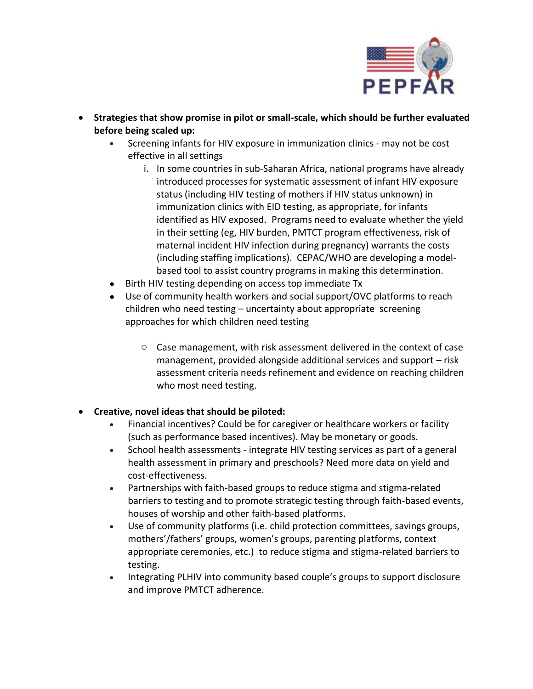

- **Strategies that show promise in pilot or small-scale, which should be further evaluated before being scaled up:**
	- Screening infants for HIV exposure in immunization clinics may not be cost effective in all settings
		- i. In some countries in sub-Saharan Africa, national programs have already introduced processes for systematic assessment of infant HIV exposure status (including HIV testing of mothers if HIV status unknown) in immunization clinics with EID testing, as appropriate, for infants identified as HIV exposed. Programs need to evaluate whether the yield in their setting (eg, HIV burden, PMTCT program effectiveness, risk of maternal incident HIV infection during pregnancy) warrants the costs (including staffing implications). CEPAC/WHO are developing a modelbased tool to assist country programs in making this determination.
	- Birth HIV testing depending on access top immediate Tx
	- Use of community health workers and social support/OVC platforms to reach children who need testing – uncertainty about appropriate screening approaches for which children need testing
		- o Case management, with risk assessment delivered in the context of case management, provided alongside additional services and support – risk assessment criteria needs refinement and evidence on reaching children who most need testing.

## **Creative, novel ideas that should be piloted:**

- Financial incentives? Could be for caregiver or healthcare workers or facility (such as performance based incentives). May be monetary or goods.
- School health assessments integrate HIV testing services as part of a general health assessment in primary and preschools? Need more data on yield and cost-effectiveness.
- Partnerships with faith-based groups to reduce stigma and stigma-related barriers to testing and to promote strategic testing through faith-based events, houses of worship and other faith-based platforms.
- Use of community platforms (i.e. child protection committees, savings groups, mothers'/fathers' groups, women's groups, parenting platforms, context appropriate ceremonies, etc.) to reduce stigma and stigma-related barriers to testing.
- Integrating PLHIV into community based couple's groups to support disclosure and improve PMTCT adherence.